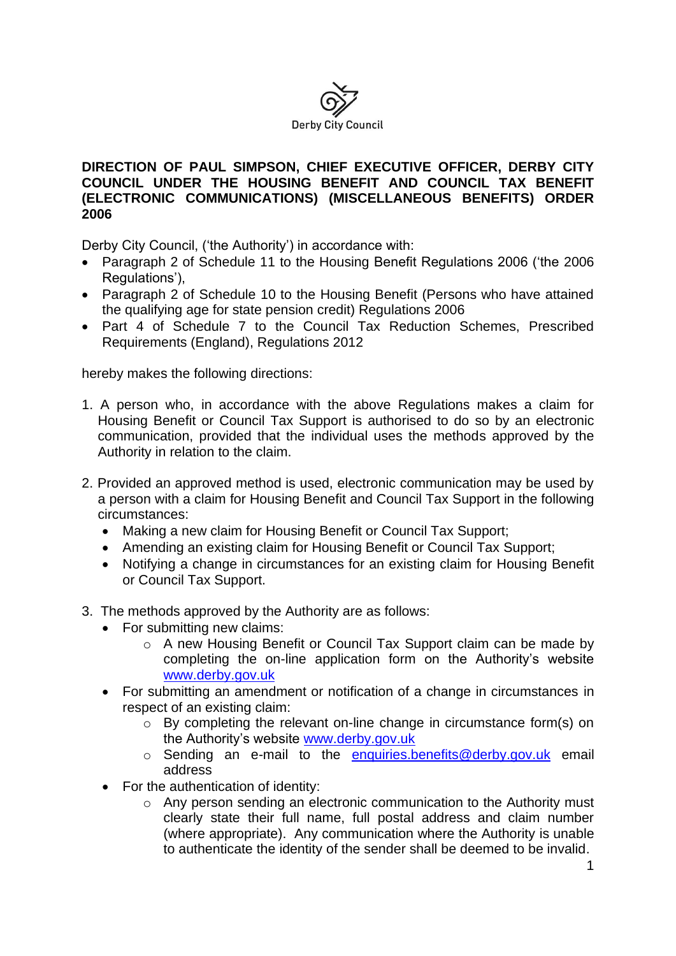

## **DIRECTION OF PAUL SIMPSON, CHIEF EXECUTIVE OFFICER, DERBY CITY COUNCIL UNDER THE HOUSING BENEFIT AND COUNCIL TAX BENEFIT (ELECTRONIC COMMUNICATIONS) (MISCELLANEOUS BENEFITS) ORDER 2006**

Derby City Council, ('the Authority') in accordance with:

- Paragraph 2 of Schedule 11 to the Housing Benefit Regulations 2006 ('the 2006 Regulations'),
- Paragraph 2 of Schedule 10 to the Housing Benefit (Persons who have attained the qualifying age for state pension credit) Regulations 2006
- Part 4 of Schedule 7 to the Council Tax Reduction Schemes, Prescribed Requirements (England), Regulations 2012

hereby makes the following directions:

- 1. A person who, in accordance with the above Regulations makes a claim for Housing Benefit or Council Tax Support is authorised to do so by an electronic communication, provided that the individual uses the methods approved by the Authority in relation to the claim.
- 2. Provided an approved method is used, electronic communication may be used by a person with a claim for Housing Benefit and Council Tax Support in the following circumstances:
	- Making a new claim for Housing Benefit or Council Tax Support;
	- Amending an existing claim for Housing Benefit or Council Tax Support;
	- Notifying a change in circumstances for an existing claim for Housing Benefit or Council Tax Support.
- 3. The methods approved by the Authority are as follows:
	- For submitting new claims:
		- o A new Housing Benefit or Council Tax Support claim can be made by completing the on-line application form on the Authority's website [www.derby.gov.uk](http://www.derby.gov.uk/)
	- For submitting an amendment or notification of a change in circumstances in respect of an existing claim:
		- $\circ$  By completing the relevant on-line change in circumstance form(s) on the Authority's website [www.derby.gov.uk](http://www.derby.gov.uk/)
		- o Sending an e-mail to the [enquiries.benefits@derby.gov.uk](mailto:enquiries.benefits@derby.gov.uk) email address
	- For the authentication of identity:
		- $\circ$  Any person sending an electronic communication to the Authority must clearly state their full name, full postal address and claim number (where appropriate). Any communication where the Authority is unable to authenticate the identity of the sender shall be deemed to be invalid.